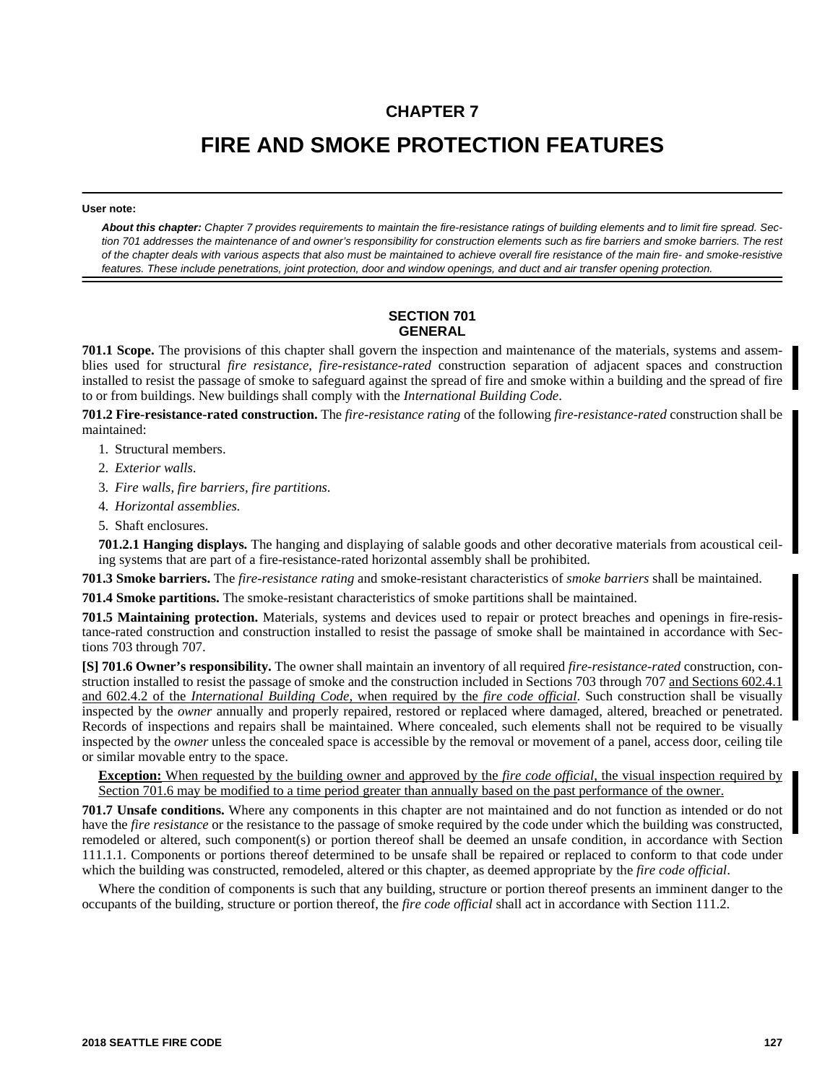# **CHAPTER 7**

# **FIRE AND SMOKE PROTECTION FEATURES**

#### **User note:**

*About this chapter: Chapter 7 provides requirements to maintain the fire-resistance ratings of building elements and to limit fire spread. Section 701 addresses the maintenance of and owner's responsibility for construction elements such as fire barriers and smoke barriers. The rest of the chapter deals with various aspects that also must be maintained to achieve overall fire resistance of the main fire- and smoke-resistive features. These include penetrations, joint protection, door and window openings, and duct and air transfer opening protection.*

# **SECTION 701 GENERAL**

**701.1 Scope.** The provisions of this chapter shall govern the inspection and maintenance of the materials, systems and assemblies used for structural *fire resistance*, *fire-resistance-rated* construction separation of adjacent spaces and construction installed to resist the passage of smoke to safeguard against the spread of fire and smoke within a building and the spread of fire to or from buildings. New buildings shall comply with the *International Building Code*.

**701.2 Fire-resistance-rated construction.** The *fire-resistance rating* of the following *fire-resistance-rated* construction shall be maintained:

- 1. Structural members.
- 2. *Exterior walls*.
- 3. *Fire walls, fire barriers, fire partitions*.
- 4. *Horizontal assemblies*.
- 5. Shaft enclosures.

**701.2.1 Hanging displays.** The hanging and displaying of salable goods and other decorative materials from acoustical ceiling systems that are part of a fire-resistance-rated horizontal assembly shall be prohibited.

**701.3 Smoke barriers.** The *fire-resistance rating* and smoke-resistant characteristics of *smoke barriers* shall be maintained.

**701.4 Smoke partitions.** The smoke-resistant characteristics of smoke partitions shall be maintained.

**701.5 Maintaining protection.** Materials, systems and devices used to repair or protect breaches and openings in fire-resistance-rated construction and construction installed to resist the passage of smoke shall be maintained in accordance with Sections 703 through 707.

**[S] 701.6 Owner's responsibility.** The owner shall maintain an inventory of all required *fire-resistance-rated* construction, construction installed to resist the passage of smoke and the construction included in Sections 703 through 707 and Sections 602.4.1 and 602.4.2 of the *International Building Code,* when required by the *fire code official*. Such construction shall be visually inspected by the *owner* annually and properly repaired, restored or replaced where damaged, altered, breached or penetrated. Records of inspections and repairs shall be maintained. Where concealed, such elements shall not be required to be visually inspected by the *owner* unless the concealed space is accessible by the removal or movement of a panel, access door, ceiling tile or similar movable entry to the space.

**Exception:** When requested by the building owner and approved by the *fire code official*, the visual inspection required by Section 701.6 may be modified to a time period greater than annually based on the past performance of the owner.

**701.7 Unsafe conditions.** Where any components in this chapter are not maintained and do not function as intended or do not have the *fire resistance* or the resistance to the passage of smoke required by the code under which the building was constructed, remodeled or altered, such component(s) or portion thereof shall be deemed an unsafe condition, in accordance with Section 111.1.1. Components or portions thereof determined to be unsafe shall be repaired or replaced to conform to that code under which the building was constructed, remodeled, altered or this chapter, as deemed appropriate by the *fire code official*.

Where the condition of components is such that any building, structure or portion thereof presents an imminent danger to the occupants of the building, structure or portion thereof, the *fire code official* shall act in accordance with Section 111.2.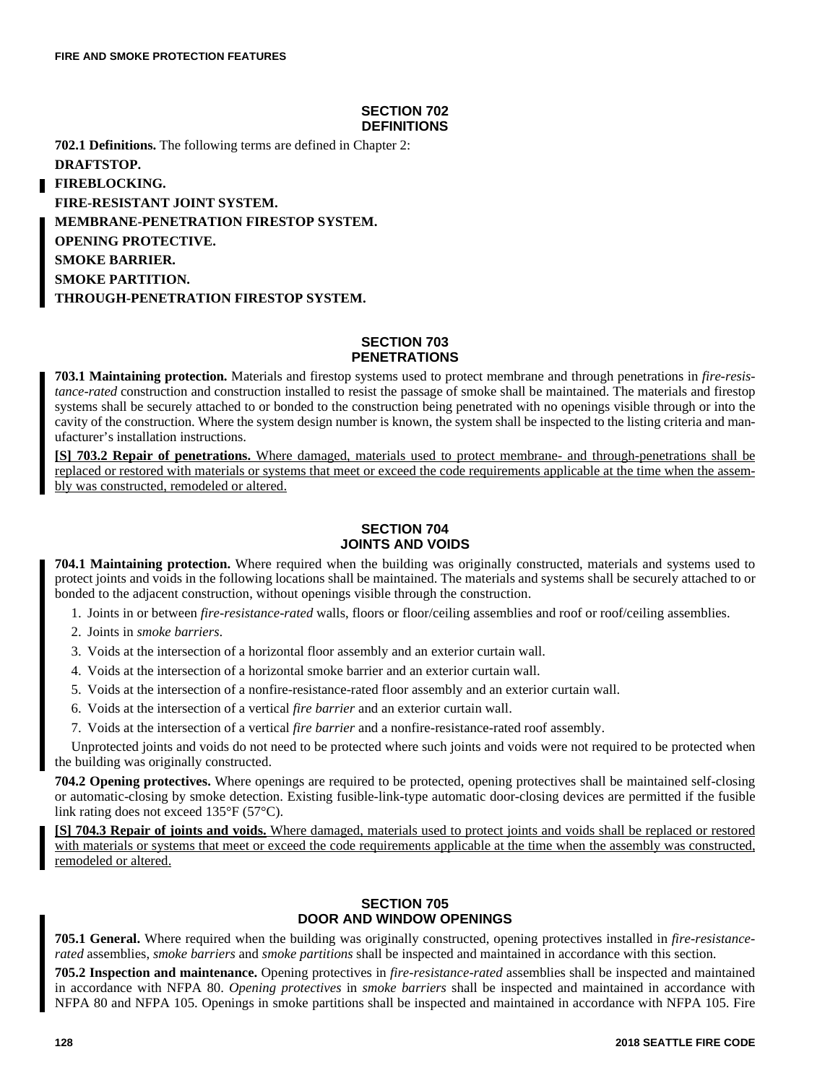## **SECTION 702 DEFINITIONS**

**702.1 Definitions.** The following terms are defined in Chapter 2: **DRAFTSTOP.**

**FIREBLOCKING. FIRE-RESISTANT JOINT SYSTEM. MEMBRANE-PENETRATION FIRESTOP SYSTEM. OPENING PROTECTIVE. SMOKE BARRIER. SMOKE PARTITION. THROUGH-PENETRATION FIRESTOP SYSTEM.**

### **SECTION 703 PENETRATIONS**

**703.1 Maintaining protection.** Materials and firestop systems used to protect membrane and through penetrations in *fire-resistance-rated* construction and construction installed to resist the passage of smoke shall be maintained. The materials and firestop systems shall be securely attached to or bonded to the construction being penetrated with no openings visible through or into the cavity of the construction. Where the system design number is known, the system shall be inspected to the listing criteria and manufacturer's installation instructions.

**[S] 703.2 Repair of penetrations.** Where damaged, materials used to protect membrane- and through-penetrations shall be replaced or restored with materials or systems that meet or exceed the code requirements applicable at the time when the assembly was constructed, remodeled or altered.

# **SECTION 704 JOINTS AND VOIDS**

**704.1 Maintaining protection.** Where required when the building was originally constructed, materials and systems used to protect joints and voids in the following locations shall be maintained. The materials and systems shall be securely attached to or bonded to the adjacent construction, without openings visible through the construction.

- 1. Joints in or between *fire-resistance-rated* walls, floors or floor/ceiling assemblies and roof or roof/ceiling assemblies.
- 2. Joints in *smoke barriers*.
- 3. Voids at the intersection of a horizontal floor assembly and an exterior curtain wall.
- 4. Voids at the intersection of a horizontal smoke barrier and an exterior curtain wall.
- 5. Voids at the intersection of a nonfire-resistance-rated floor assembly and an exterior curtain wall.
- 6. Voids at the intersection of a vertical *fire barrier* and an exterior curtain wall.
- 7. Voids at the intersection of a vertical *fire barrier* and a nonfire-resistance-rated roof assembly.

Unprotected joints and voids do not need to be protected where such joints and voids were not required to be protected when the building was originally constructed.

**704.2 Opening protectives.** Where openings are required to be protected, opening protectives shall be maintained self-closing or automatic-closing by smoke detection. Existing fusible-link-type automatic door-closing devices are permitted if the fusible link rating does not exceed 135°F (57°C).

**[S] 704.3 Repair of joints and voids.** Where damaged, materials used to protect joints and voids shall be replaced or restored with materials or systems that meet or exceed the code requirements applicable at the time when the assembly was constructed, remodeled or altered.

# **SECTION 705 DOOR AND WINDOW OPENINGS**

**705.1 General.** Where required when the building was originally constructed, opening protectives installed in *fire-resistancerated* assemblies, *smoke barriers* and *smoke partitions* shall be inspected and maintained in accordance with this section.

**705.2 Inspection and maintenance.** Opening protectives in *fire-resistance-rated* assemblies shall be inspected and maintained in accordance with NFPA 80. *Opening protectives* in *smoke barriers* shall be inspected and maintained in accordance with NFPA 80 and NFPA 105. Openings in smoke partitions shall be inspected and maintained in accordance with NFPA 105. Fire